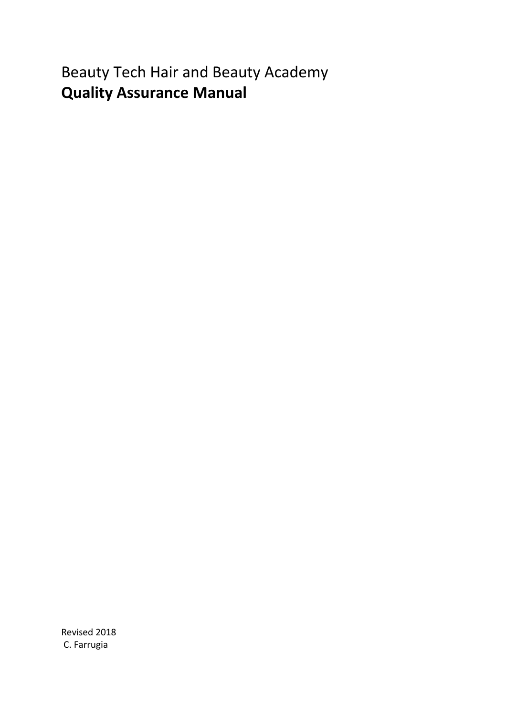Beauty Tech Hair and Beauty Academy **Quality Assurance Manual**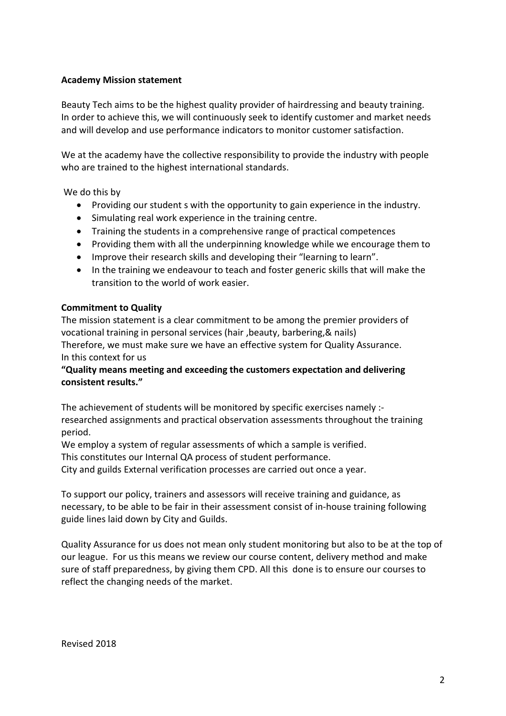#### **Academy Mission statement**

Beauty Tech aims to be the highest quality provider of hairdressing and beauty training. In order to achieve this, we will continuously seek to identify customer and market needs and will develop and use performance indicators to monitor customer satisfaction.

We at the academy have the collective responsibility to provide the industry with people who are trained to the highest international standards.

We do this by

- Providing our student s with the opportunity to gain experience in the industry.
- Simulating real work experience in the training centre.
- Training the students in a comprehensive range of practical competences
- Providing them with all the underpinning knowledge while we encourage them to
- Improve their research skills and developing their "learning to learn".
- In the training we endeavour to teach and foster generic skills that will make the transition to the world of work easier.

#### **Commitment to Quality**

The mission statement is a clear commitment to be among the premier providers of vocational training in personal services (hair ,beauty, barbering,& nails) Therefore, we must make sure we have an effective system for Quality Assurance. In this context for us

### **"Quality means meeting and exceeding the customers expectation and delivering consistent results."**

The achievement of students will be monitored by specific exercises namely : researched assignments and practical observation assessments throughout the training period.

We employ a system of regular assessments of which a sample is verified.

This constitutes our Internal QA process of student performance.

City and guilds External verification processes are carried out once a year.

To support our policy, trainers and assessors will receive training and guidance, as necessary, to be able to be fair in their assessment consist of in-house training following guide lines laid down by City and Guilds.

Quality Assurance for us does not mean only student monitoring but also to be at the top of our league. For us this means we review our course content, delivery method and make sure of staff preparedness, by giving them CPD. All this done is to ensure our courses to reflect the changing needs of the market.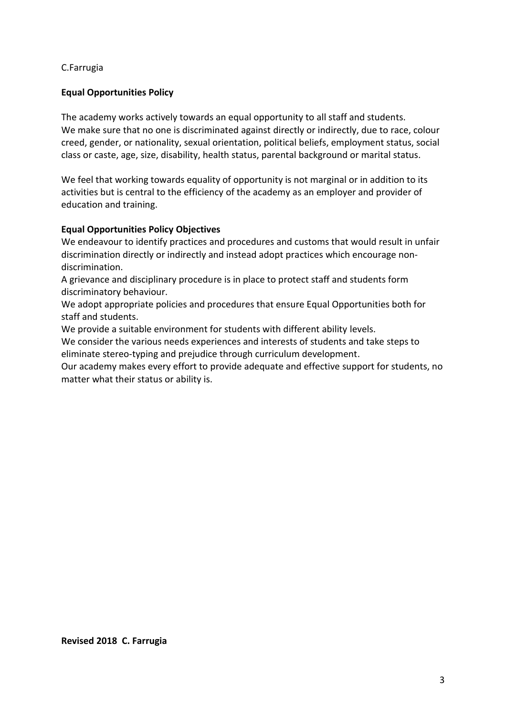### C.Farrugia

#### **Equal Opportunities Policy**

The academy works actively towards an equal opportunity to all staff and students. We make sure that no one is discriminated against directly or indirectly, due to race, colour creed, gender, or nationality, sexual orientation, political beliefs, employment status, social class or caste, age, size, disability, health status, parental background or marital status.

We feel that working towards equality of opportunity is not marginal or in addition to its activities but is central to the efficiency of the academy as an employer and provider of education and training.

#### **Equal Opportunities Policy Objectives**

We endeavour to identify practices and procedures and customs that would result in unfair discrimination directly or indirectly and instead adopt practices which encourage nondiscrimination.

A grievance and disciplinary procedure is in place to protect staff and students form discriminatory behaviour.

We adopt appropriate policies and procedures that ensure Equal Opportunities both for staff and students.

We provide a suitable environment for students with different ability levels.

We consider the various needs experiences and interests of students and take steps to eliminate stereo-typing and prejudice through curriculum development.

Our academy makes every effort to provide adequate and effective support for students, no matter what their status or ability is.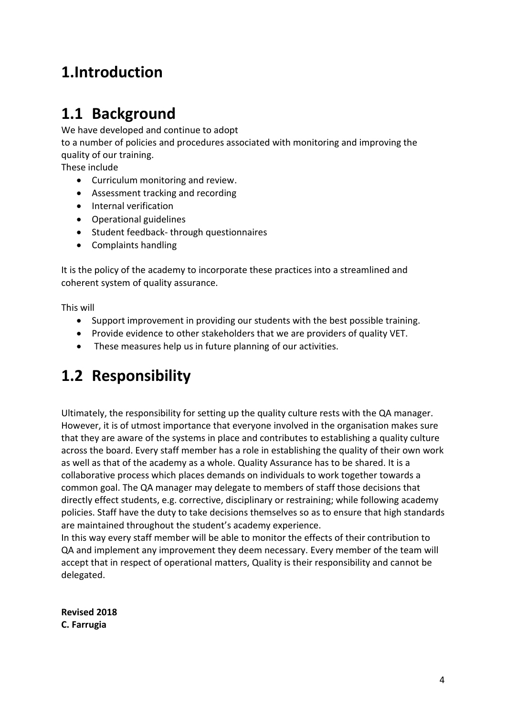# **1.Introduction**

## **1.1 Background**

We have developed and continue to adopt

to a number of policies and procedures associated with monitoring and improving the quality of our training.

These include

- Curriculum monitoring and review.
- Assessment tracking and recording
- Internal verification
- Operational guidelines
- Student feedback- through questionnaires
- Complaints handling

It is the policy of the academy to incorporate these practices into a streamlined and coherent system of quality assurance.

This will

- Support improvement in providing our students with the best possible training.
- Provide evidence to other stakeholders that we are providers of quality VET.
- These measures help us in future planning of our activities.

## **1.2 Responsibility**

Ultimately, the responsibility for setting up the quality culture rests with the QA manager. However, it is of utmost importance that everyone involved in the organisation makes sure that they are aware of the systems in place and contributes to establishing a quality culture across the board. Every staff member has a role in establishing the quality of their own work as well as that of the academy as a whole. Quality Assurance has to be shared. It is a collaborative process which places demands on individuals to work together towards a common goal. The QA manager may delegate to members of staff those decisions that directly effect students, e.g. corrective, disciplinary or restraining; while following academy policies. Staff have the duty to take decisions themselves so as to ensure that high standards are maintained throughout the student's academy experience.

In this way every staff member will be able to monitor the effects of their contribution to QA and implement any improvement they deem necessary. Every member of the team will accept that in respect of operational matters, Quality is their responsibility and cannot be delegated.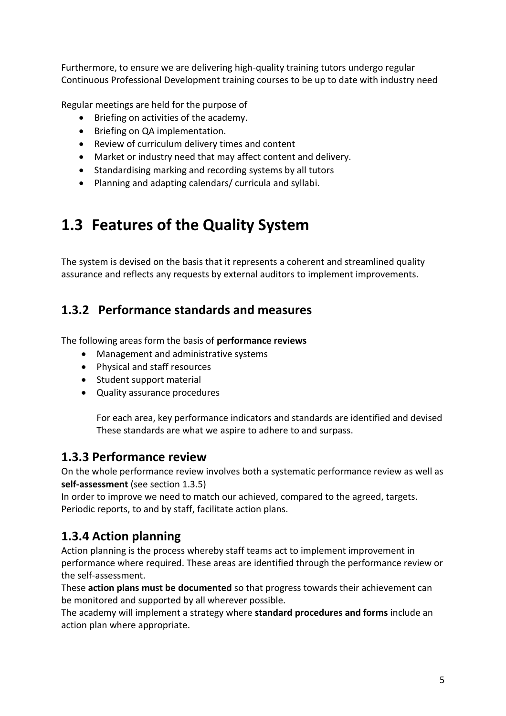Furthermore, to ensure we are delivering high-quality training tutors undergo regular Continuous Professional Development training courses to be up to date with industry need

Regular meetings are held for the purpose of

- Briefing on activities of the academy.
- Briefing on QA implementation.
- Review of curriculum delivery times and content
- Market or industry need that may affect content and delivery.
- Standardising marking and recording systems by all tutors
- Planning and adapting calendars/ curricula and syllabi.

# **1.3 Features of the Quality System**

The system is devised on the basis that it represents a coherent and streamlined quality assurance and reflects any requests by external auditors to implement improvements.

### **1.3.2 Performance standards and measures**

The following areas form the basis of **performance reviews**

- Management and administrative systems
- Physical and staff resources
- Student support material
- Quality assurance procedures

For each area, key performance indicators and standards are identified and devised These standards are what we aspire to adhere to and surpass.

### **1.3.3 Performance review**

On the whole performance review involves both a systematic performance review as well as **self-assessment** (see section 1.3.5)

In order to improve we need to match our achieved, compared to the agreed, targets. Periodic reports, to and by staff, facilitate action plans.

### **1.3.4 Action planning**

Action planning is the process whereby staff teams act to implement improvement in performance where required. These areas are identified through the performance review or the self-assessment.

These **action plans must be documented** so that progress towards their achievement can be monitored and supported by all wherever possible.

The academy will implement a strategy where **standard procedures and forms** include an action plan where appropriate.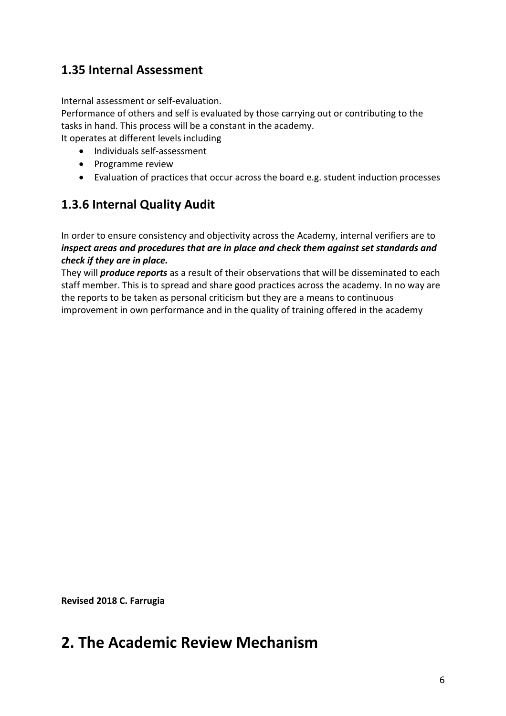### **1.35 Internal Assessment**

Internal assessment or self-evaluation.

Performance of others and self is evaluated by those carrying out or contributing to the tasks in hand. This process will be a constant in the academy.

It operates at different levels including

- Individuals self-assessment
- Programme review
- Evaluation of practices that occur across the board e.g. student induction processes

### **1.3.6 Internal Quality Audit**

In order to ensure consistency and objectivity across the Academy, internal verifiers are to *inspect areas and procedures that are in place and check them against set standards and check if they are in place.*

They will *produce reports* as a result of their observations that will be disseminated to each staff member. This is to spread and share good practices across the academy. In no way are the reports to be taken as personal criticism but they are a means to continuous improvement in own performance and in the quality of training offered in the academy

**Revised 2018 C. Farrugia**

## **2. The Academic Review Mechanism**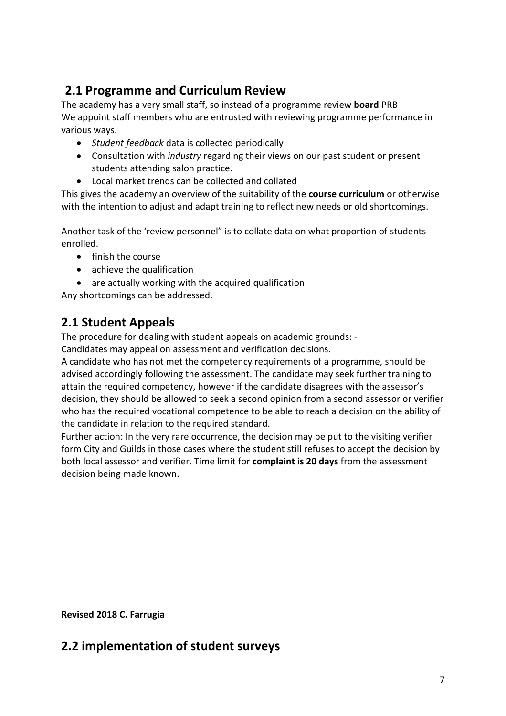### **2.1 Programme and Curriculum Review**

The academy has a very small staff, so instead of a programme review **board** PRB We appoint staff members who are entrusted with reviewing programme performance in various ways.

- *Student feedback* data is collected periodically
- Consultation with *industry* regarding their views on our past student or present students attending salon practice.
- Local market trends can be collected and collated

This gives the academy an overview of the suitability of the **course curriculum** or otherwise with the intention to adjust and adapt training to reflect new needs or old shortcomings.

Another task of the 'review personnel" is to collate data on what proportion of students enrolled.

- finish the course
- achieve the qualification
- are actually working with the acquired qualification

Any shortcomings can be addressed.

### **2.1 Student Appeals**

The procedure for dealing with student appeals on academic grounds: -

Candidates may appeal on assessment and verification decisions.

A candidate who has not met the competency requirements of a programme, should be advised accordingly following the assessment. The candidate may seek further training to attain the required competency, however if the candidate disagrees with the assessor's decision, they should be allowed to seek a second opinion from a second assessor or verifier who has the required vocational competence to be able to reach a decision on the ability of the candidate in relation to the required standard.

Further action: In the very rare occurrence, the decision may be put to the visiting verifier form City and Guilds in those cases where the student still refuses to accept the decision by both local assessor and verifier. Time limit for **complaint is 20 days** from the assessment decision being made known.

**Revised 2018 C. Farrugia**

### **2.2 implementation of student surveys**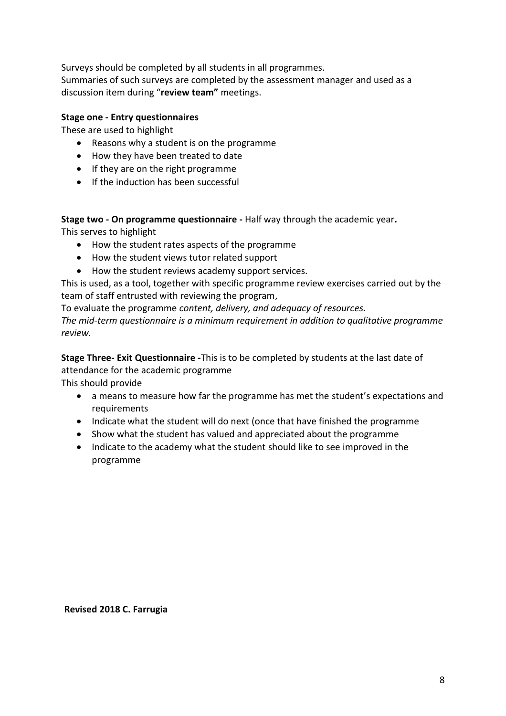Surveys should be completed by all students in all programmes. Summaries of such surveys are completed by the assessment manager and used as a discussion item during "**review team"** meetings.

### **Stage one - Entry questionnaires**

These are used to highlight

- Reasons why a student is on the programme
- How they have been treated to date
- If they are on the right programme
- If the induction has been successful

**Stage two - On programme questionnaire -** Half way through the academic year**.**

This serves to highlight

- How the student rates aspects of the programme
- How the student views tutor related support
- How the student reviews academy support services.

This is used, as a tool, together with specific programme review exercises carried out by the team of staff entrusted with reviewing the program,

To evaluate the programme *content, delivery, and adequacy of resources.*

*The mid-term questionnaire is a minimum requirement in addition to qualitative programme review.*

**Stage Three- Exit Questionnaire -**This is to be completed by students at the last date of attendance for the academic programme

This should provide

- a means to measure how far the programme has met the student's expectations and requirements
- Indicate what the student will do next (once that have finished the programme
- Show what the student has valued and appreciated about the programme
- Indicate to the academy what the student should like to see improved in the programme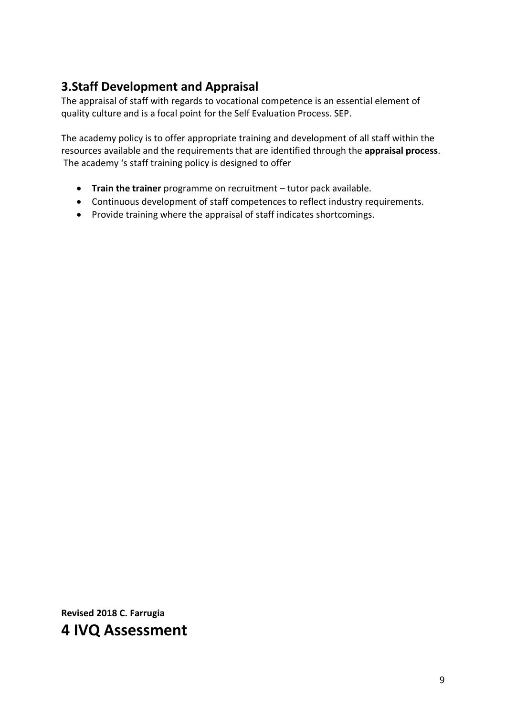### **3.Staff Development and Appraisal**

The appraisal of staff with regards to vocational competence is an essential element of quality culture and is a focal point for the Self Evaluation Process. SEP.

The academy policy is to offer appropriate training and development of all staff within the resources available and the requirements that are identified through the **appraisal process**. The academy 's staff training policy is designed to offer

- **Train the trainer** programme on recruitment tutor pack available.
- Continuous development of staff competences to reflect industry requirements.
- Provide training where the appraisal of staff indicates shortcomings.

**Revised 2018 C. Farrugia 4 IVQ Assessment**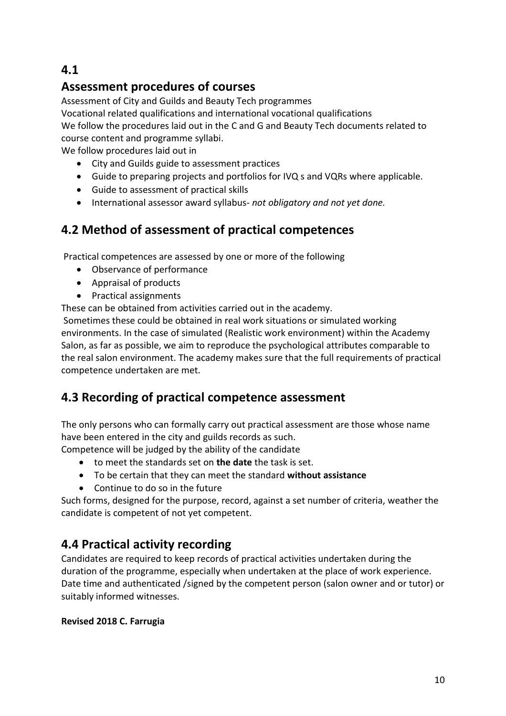**4.1**

### **Assessment procedures of courses**

Assessment of City and Guilds and Beauty Tech programmes

Vocational related qualifications and international vocational qualifications

We follow the procedures laid out in the C and G and Beauty Tech documents related to course content and programme syllabi.

We follow procedures laid out in

- City and Guilds guide to assessment practices
- Guide to preparing projects and portfolios for IVQ s and VQRs where applicable.
- Guide to assessment of practical skills
- International assessor award syllabus- *not obligatory and not yet done.*

### **4.2 Method of assessment of practical competences**

Practical competences are assessed by one or more of the following

- Observance of performance
- Appraisal of products
- Practical assignments

These can be obtained from activities carried out in the academy.

Sometimes these could be obtained in real work situations or simulated working environments. In the case of simulated (Realistic work environment) within the Academy Salon, as far as possible, we aim to reproduce the psychological attributes comparable to the real salon environment. The academy makes sure that the full requirements of practical competence undertaken are met.

### **4.3 Recording of practical competence assessment**

The only persons who can formally carry out practical assessment are those whose name have been entered in the city and guilds records as such.

Competence will be judged by the ability of the candidate

- to meet the standards set on **the date** the task is set.
- To be certain that they can meet the standard **without assistance**
- Continue to do so in the future

Such forms, designed for the purpose, record, against a set number of criteria, weather the candidate is competent of not yet competent.

### **4.4 Practical activity recording**

Candidates are required to keep records of practical activities undertaken during the duration of the programme, especially when undertaken at the place of work experience. Date time and authenticated /signed by the competent person (salon owner and or tutor) or suitably informed witnesses.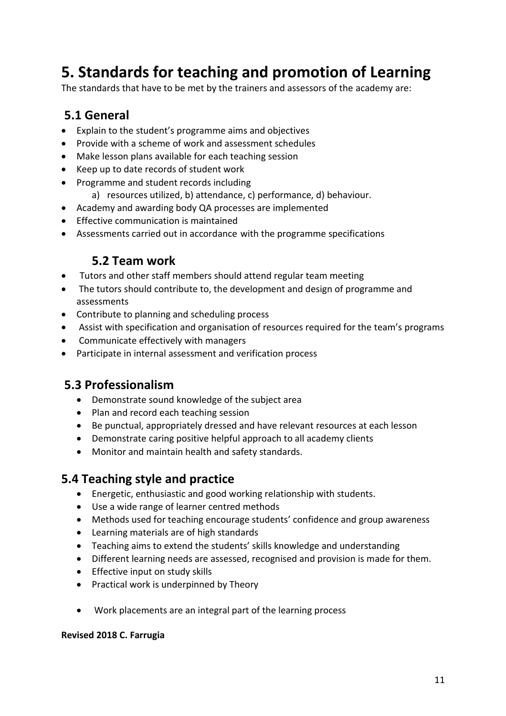# **5. Standards for teaching and promotion of Learning**

The standards that have to be met by the trainers and assessors of the academy are:

### **5.1 General**

- Explain to the student's programme aims and objectives
- Provide with a scheme of work and assessment schedules
- Make lesson plans available for each teaching session
- Keep up to date records of student work
- Programme and student records including
	- a) resources utilized, b) attendance, c) performance, d) behaviour.
- Academy and awarding body QA processes are implemented
- Effective communication is maintained
- Assessments carried out in accordance with the programme specifications

### **5.2 Team work**

- Tutors and other staff members should attend regular team meeting
- The tutors should contribute to, the development and design of programme and assessments
- Contribute to planning and scheduling process
- Assist with specification and organisation of resources required for the team's programs
- Communicate effectively with managers
- Participate in internal assessment and verification process

### **5.3 Professionalism**

- Demonstrate sound knowledge of the subject area
- Plan and record each teaching session
- Be punctual, appropriately dressed and have relevant resources at each lesson
- Demonstrate caring positive helpful approach to all academy clients
- Monitor and maintain health and safety standards.

### **5.4 Teaching style and practice**

- Energetic, enthusiastic and good working relationship with students.
- Use a wide range of learner centred methods
- Methods used for teaching encourage students' confidence and group awareness
- Learning materials are of high standards
- Teaching aims to extend the students' skills knowledge and understanding
- Different learning needs are assessed, recognised and provision is made for them.
- Effective input on study skills
- Practical work is underpinned by Theory
- Work placements are an integral part of the learning process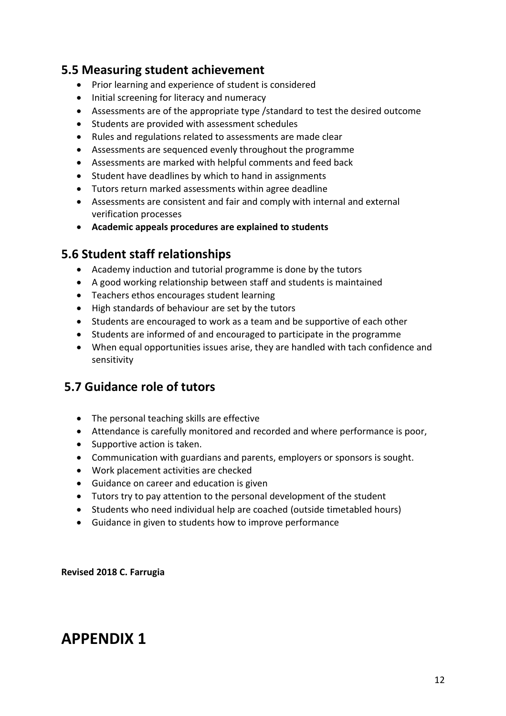### **5.5 Measuring student achievement**

- Prior learning and experience of student is considered
- Initial screening for literacy and numeracy
- Assessments are of the appropriate type /standard to test the desired outcome
- Students are provided with assessment schedules
- Rules and regulations related to assessments are made clear
- Assessments are sequenced evenly throughout the programme
- Assessments are marked with helpful comments and feed back
- Student have deadlines by which to hand in assignments
- Tutors return marked assessments within agree deadline
- Assessments are consistent and fair and comply with internal and external verification processes
- **Academic appeals procedures are explained to students**

### **5.6 Student staff relationships**

- Academy induction and tutorial programme is done by the tutors
- A good working relationship between staff and students is maintained
- Teachers ethos encourages student learning
- High standards of behaviour are set by the tutors
- Students are encouraged to work as a team and be supportive of each other
- Students are informed of and encouraged to participate in the programme
- When equal opportunities issues arise, they are handled with tach confidence and sensitivity

### **5.7 Guidance role of tutors**

- The personal teaching skills are effective
- Attendance is carefully monitored and recorded and where performance is poor,
- Supportive action is taken.
- Communication with guardians and parents, employers or sponsors is sought.
- Work placement activities are checked
- Guidance on career and education is given
- Tutors try to pay attention to the personal development of the student
- Students who need individual help are coached (outside timetabled hours)
- Guidance in given to students how to improve performance

**Revised 2018 C. Farrugia**

## **APPENDIX 1**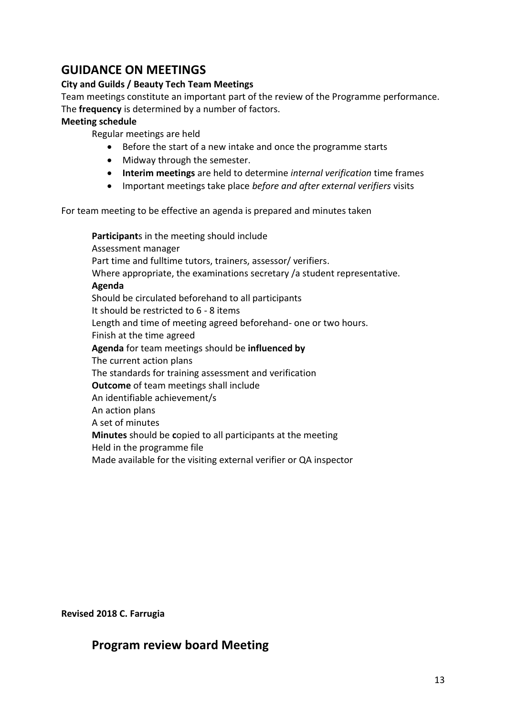### **GUIDANCE ON MEETINGS**

#### **City and Guilds / Beauty Tech Team Meetings**

Team meetings constitute an important part of the review of the Programme performance. The **frequency** is determined by a number of factors.

#### **Meeting schedule**

Regular meetings are held

- Before the start of a new intake and once the programme starts
- Midway through the semester.
- **Interim meetings** are held to determine *internal verification* time frames
- Important meetings take place *before and after external verifiers* visits

For team meeting to be effective an agenda is prepared and minutes taken

**Participant**s in the meeting should include Assessment manager Part time and fulltime tutors, trainers, assessor/ verifiers. Where appropriate, the examinations secretary /a student representative. **Agenda** Should be circulated beforehand to all participants It should be restricted to 6 - 8 items Length and time of meeting agreed beforehand- one or two hours. Finish at the time agreed **Agenda** for team meetings should be **influenced by** The current action plans The standards for training assessment and verification **Outcome** of team meetings shall include An identifiable achievement/s An action plans A set of minutes **Minutes** should be **c**opied to all participants at the meeting Held in the programme file Made available for the visiting external verifier or QA inspector

**Revised 2018 C. Farrugia**

### **Program review board Meeting**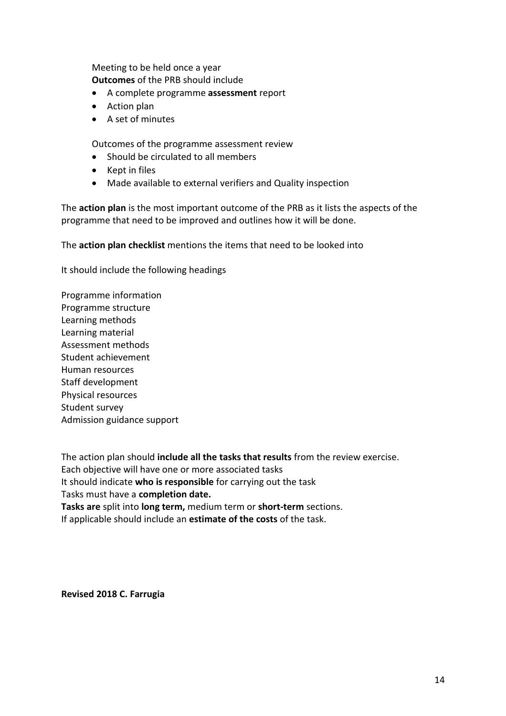Meeting to be held once a year **Outcomes** of the PRB should include

- A complete programme **assessment** report
- Action plan
- A set of minutes

Outcomes of the programme assessment review

- Should be circulated to all members
- Kept in files
- Made available to external verifiers and Quality inspection

The **action plan** is the most important outcome of the PRB as it lists the aspects of the programme that need to be improved and outlines how it will be done.

The **action plan checklist** mentions the items that need to be looked into

It should include the following headings

Programme information Programme structure Learning methods Learning material Assessment methods Student achievement Human resources Staff development Physical resources Student survey Admission guidance support

The action plan should **include all the tasks that results** from the review exercise. Each objective will have one or more associated tasks It should indicate **who is responsible** for carrying out the task Tasks must have a **completion date. Tasks are** split into **long term,** medium term or **short-term** sections. If applicable should include an **estimate of the costs** of the task.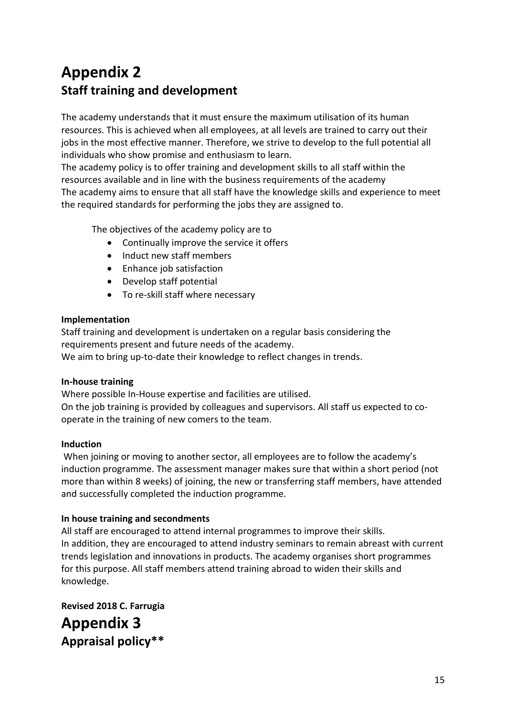## **Appendix 2 Staff training and development**

The academy understands that it must ensure the maximum utilisation of its human resources. This is achieved when all employees, at all levels are trained to carry out their jobs in the most effective manner. Therefore, we strive to develop to the full potential all individuals who show promise and enthusiasm to learn.

The academy policy is to offer training and development skills to all staff within the resources available and in line with the business requirements of the academy The academy aims to ensure that all staff have the knowledge skills and experience to meet the required standards for performing the jobs they are assigned to.

The objectives of the academy policy are to

- Continually improve the service it offers
- Induct new staff members
- Enhance job satisfaction
- Develop staff potential
- To re-skill staff where necessary

### **Implementation**

Staff training and development is undertaken on a regular basis considering the requirements present and future needs of the academy.

We aim to bring up-to-date their knowledge to reflect changes in trends.

### **In-house training**

Where possible In-House expertise and facilities are utilised. On the job training is provided by colleagues and supervisors. All staff us expected to cooperate in the training of new comers to the team.

### **Induction**

When joining or moving to another sector, all employees are to follow the academy's induction programme. The assessment manager makes sure that within a short period (not more than within 8 weeks) of joining, the new or transferring staff members, have attended and successfully completed the induction programme.

### **In house training and secondments**

All staff are encouraged to attend internal programmes to improve their skills. In addition, they are encouraged to attend industry seminars to remain abreast with current trends legislation and innovations in products. The academy organises short programmes for this purpose. All staff members attend training abroad to widen their skills and knowledge.

**Revised 2018 C. Farrugia Appendix 3 Appraisal policy\*\***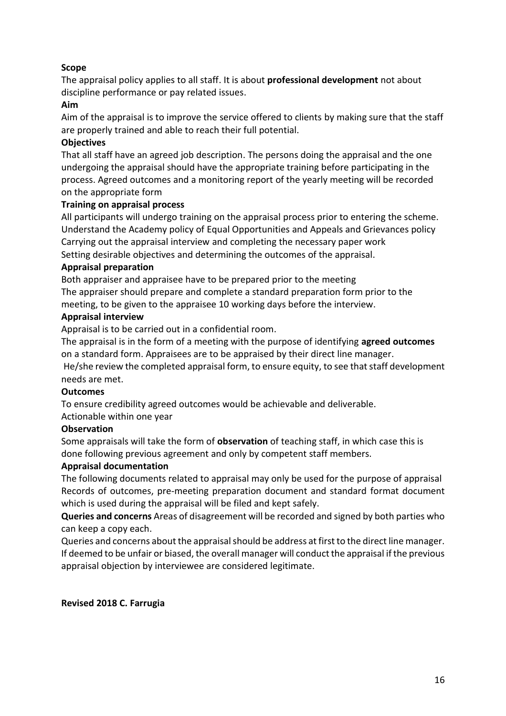### **Scope**

The appraisal policy applies to all staff. It is about **professional development** not about discipline performance or pay related issues.

#### **Aim**

Aim of the appraisal is to improve the service offered to clients by making sure that the staff are properly trained and able to reach their full potential.

#### **Objectives**

That all staff have an agreed job description. The persons doing the appraisal and the one undergoing the appraisal should have the appropriate training before participating in the process. Agreed outcomes and a monitoring report of the yearly meeting will be recorded on the appropriate form

#### **Training on appraisal process**

All participants will undergo training on the appraisal process prior to entering the scheme. Understand the Academy policy of Equal Opportunities and Appeals and Grievances policy Carrying out the appraisal interview and completing the necessary paper work Setting desirable objectives and determining the outcomes of the appraisal.

#### **Appraisal preparation**

Both appraiser and appraisee have to be prepared prior to the meeting The appraiser should prepare and complete a standard preparation form prior to the meeting, to be given to the appraisee 10 working days before the interview.

#### **Appraisal interview**

Appraisal is to be carried out in a confidential room.

The appraisal is in the form of a meeting with the purpose of identifying **agreed outcomes** on a standard form. Appraisees are to be appraised by their direct line manager.

He/she review the completed appraisal form, to ensure equity, to see that staff development needs are met.

#### **Outcomes**

To ensure credibility agreed outcomes would be achievable and deliverable.

Actionable within one year

### **Observation**

Some appraisals will take the form of **observation** of teaching staff, in which case this is done following previous agreement and only by competent staff members.

### **Appraisal documentation**

The following documents related to appraisal may only be used for the purpose of appraisal Records of outcomes, pre-meeting preparation document and standard format document which is used during the appraisal will be filed and kept safely.

**Queries and concerns** Areas of disagreement will be recorded and signed by both parties who can keep a copy each.

Queries and concerns about the appraisal should be address at first to the direct line manager. If deemed to be unfair or biased, the overall manager will conduct the appraisal if the previous appraisal objection by interviewee are considered legitimate.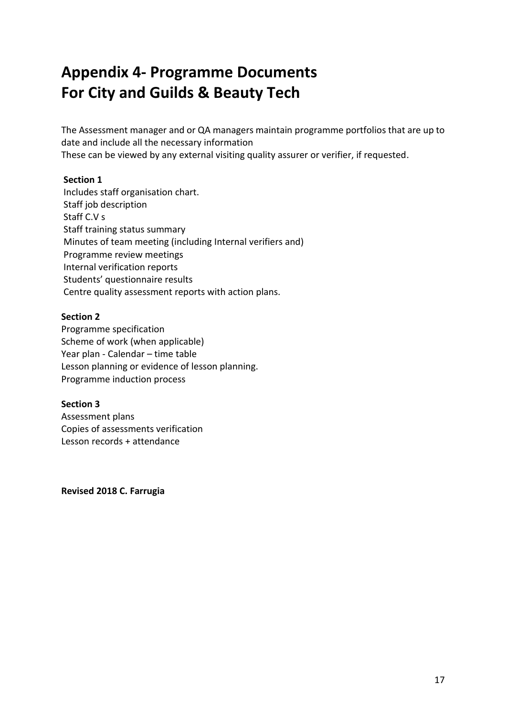# **Appendix 4- Programme Documents For City and Guilds & Beauty Tech**

The Assessment manager and or QA managers maintain programme portfolios that are up to date and include all the necessary information These can be viewed by any external visiting quality assurer or verifier, if requested.

### **Section 1**

Includes staff organisation chart. Staff job description Staff C.V s Staff training status summary Minutes of team meeting (including Internal verifiers and) Programme review meetings Internal verification reports Students' questionnaire results Centre quality assessment reports with action plans.

#### **Section 2**

Programme specification Scheme of work (when applicable) Year plan - Calendar – time table Lesson planning or evidence of lesson planning. Programme induction process

### **Section 3**

Assessment plans Copies of assessments verification Lesson records + attendance